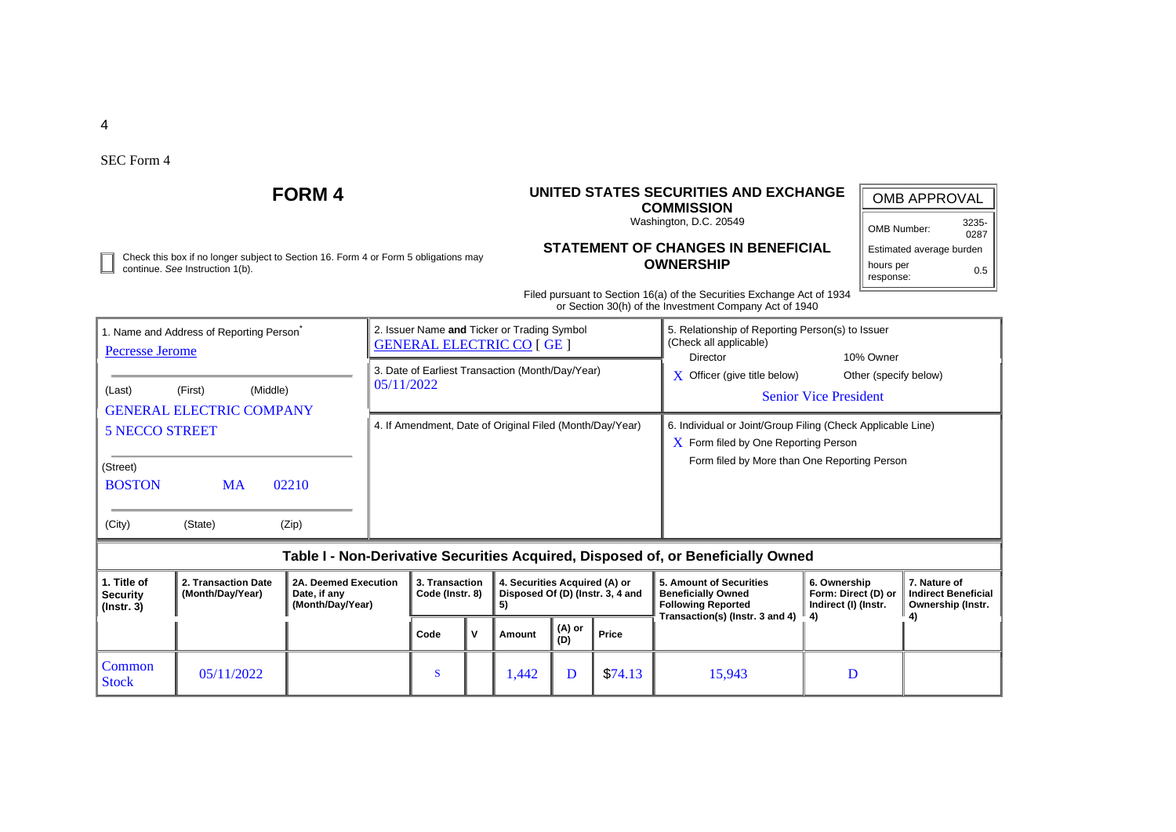4

SEC Form 4

## **FORM 4 UNITED STATES SECURITIES AND EXCHANGE COMMISSION** Washington, D.C. 20549 **STATEMENT OF CHANGES IN BENEFICIAL OWNERSHIP** Filed pursuant to Section 16(a) of the Securities Exchange Act of 1934 or Section 30(h) of the Investment Company Act of 1940 OMB APPROVAL OMB Number: 3235- 0287 Estimated average burden hours per response: 0.5 Check this box if no longer subject to Section 16. Form 4 or Form 5 obligations may continue. *See* Instruction 1(b). 1. Name and Address of Reporting Person<sup>\*</sup> [Pecresse Jerome](https://core-prod.911912160865.ew2.aws.prod.r53/cgi-bin/browse-edgar?action=getcompany&CIK=0001752021) (Last) (First) (Middle) GENERAL ELECTRIC COMPANY 5 NECCO STREET (Street) BOSTON MA 02210 (City) (State) (Zip) 2. Issuer Name **and** Ticker or Trading Symbol [GENERAL ELECTRIC CO](https://core-prod.911912160865.ew2.aws.prod.r53/cgi-bin/browse-edgar?action=getcompany&CIK=0000040545) [ GE ] 5. Relationship of Reporting Person(s) to Issuer (Check all applicable) Director 10% Owner  $\bar{X}$  Officer (give title below) Other (specify below) Senior Vice President 3. Date of Earliest Transaction (Month/Day/Year) 05/11/2022 4. If Amendment, Date of Original Filed (Month/Day/Year) 6. Individual or Joint/Group Filing (Check Applicable Line) X Form filed by One Reporting Person Form filed by More than One Reporting Person **Table I - Non-Derivative Securities Acquired, Disposed of, or Beneficially Owned 1. Title of Security (Instr. 3) 2. Transaction Date (Month/Day/Year) 2A. Deemed Execution Date, if any (Month/Day/Year) 3. Transaction Code (Instr. 8) 4. Securities Acquired (A) or Disposed Of (D) (Instr. 3, 4 and 5) 5. Amount of Securities Beneficially Owned Following Reported Transaction(s) (Instr. 3 and 4) 4) 6. Ownership Form: Direct (D) or Indirect (I) (Instr. 7. Nature of Indirect Beneficial Ownership (Instr. 4) Code**  $\begin{bmatrix} V \end{bmatrix}$  Amount  $\begin{bmatrix} (A) \\ (D) \end{bmatrix}$ **(D) Price** Common Stock 05/11/2022 <sup>S</sup> 1,442 <sup>D</sup> \$74.13 15,943 <sup>D</sup>